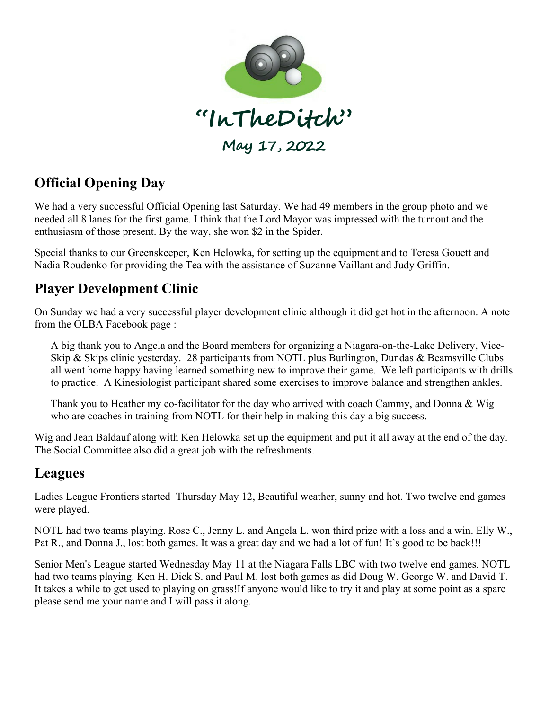

# **Official Opening Day**

We had a very successful Official Opening last Saturday. We had 49 members in the group photo and we needed all 8 lanes for the first game. I think that the Lord Mayor was impressed with the turnout and the enthusiasm of those present. By the way, she won \$2 in the Spider.

Special thanks to our Greenskeeper, Ken Helowka, for setting up the equipment and to Teresa Gouett and Nadia Roudenko for providing the Tea with the assistance of Suzanne Vaillant and Judy Griffin.

### **Player Development Clinic**

On Sunday we had a very successful player development clinic although it did get hot in the afternoon. A note from the OLBA Facebook page :

A big thank you to Angela and the Board members for organizing a Niagara-on-the-Lake Delivery, Vice-Skip & Skips clinic yesterday. 28 participants from NOTL plus Burlington, Dundas & Beamsville Clubs all went home happy having learned something new to improve their game. We left participants with drills to practice. A Kinesiologist participant shared some exercises to improve balance and strengthen ankles.

Thank you to Heather my co-facilitator for the day who arrived with coach Cammy, and Donna & Wig who are coaches in training from NOTL for their help in making this day a big success.

Wig and Jean Baldauf along with Ken Helowka set up the equipment and put it all away at the end of the day. The Social Committee also did a great job with the refreshments.

#### **Leagues**

Ladies League Frontiers started Thursday May 12, Beautiful weather, sunny and hot. Two twelve end games were played.

NOTL had two teams playing. Rose C., Jenny L. and Angela L. won third prize with a loss and a win. Elly W., Pat R., and Donna J., lost both games. It was a great day and we had a lot of fun! It's good to be back!!!

Senior Men's League started Wednesday May 11 at the Niagara Falls LBC with two twelve end games. NOTL had two teams playing. Ken H. Dick S. and Paul M. lost both games as did Doug W. George W. and David T. It takes a while to get used to playing on grass!If anyone would like to try it and play at some point as a spare please send me your name and I will pass it along.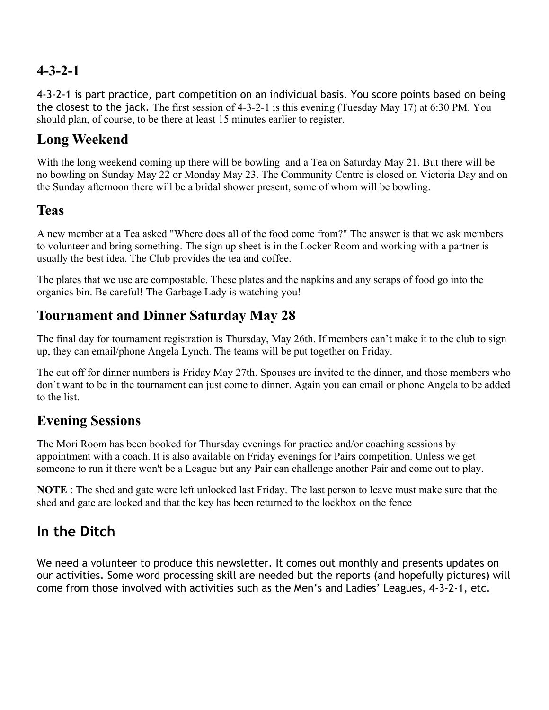## **4-3-2-1**

4-3-2-1 is part practice, part competition on an individual basis. You score points based on being the closest to the jack. The first session of 4-3-2-1 is this evening (Tuesday May 17) at 6:30 PM. You should plan, of course, to be there at least 15 minutes earlier to register.

## **Long Weekend**

With the long weekend coming up there will be bowling and a Tea on Saturday May 21. But there will be no bowling on Sunday May 22 or Monday May 23. The Community Centre is closed on Victoria Day and on the Sunday afternoon there will be a bridal shower present, some of whom will be bowling.

### **Teas**

A new member at a Tea asked "Where does all of the food come from?" The answer is that we ask members to volunteer and bring something. The sign up sheet is in the Locker Room and working with a partner is usually the best idea. The Club provides the tea and coffee.

The plates that we use are compostable. These plates and the napkins and any scraps of food go into the organics bin. Be careful! The Garbage Lady is watching you!

### **Tournament and Dinner Saturday May 28**

The final day for tournament registration is Thursday, May 26th. If members can't make it to the club to sign up, they can email/phone Angela Lynch. The teams will be put together on Friday.

The cut off for dinner numbers is Friday May 27th. Spouses are invited to the dinner, and those members who don't want to be in the tournament can just come to dinner. Again you can email or phone Angela to be added to the list.

### **Evening Sessions**

The Mori Room has been booked for Thursday evenings for practice and/or coaching sessions by appointment with a coach. It is also available on Friday evenings for Pairs competition. Unless we get someone to run it there won't be a League but any Pair can challenge another Pair and come out to play.

**NOTE** : The shed and gate were left unlocked last Friday. The last person to leave must make sure that the shed and gate are locked and that the key has been returned to the lockbox on the fence

# **In the Ditch**

We need a volunteer to produce this newsletter. It comes out monthly and presents updates on our activities. Some word processing skill are needed but the reports (and hopefully pictures) will come from those involved with activities such as the Men's and Ladies' Leagues, 4-3-2-1, etc.